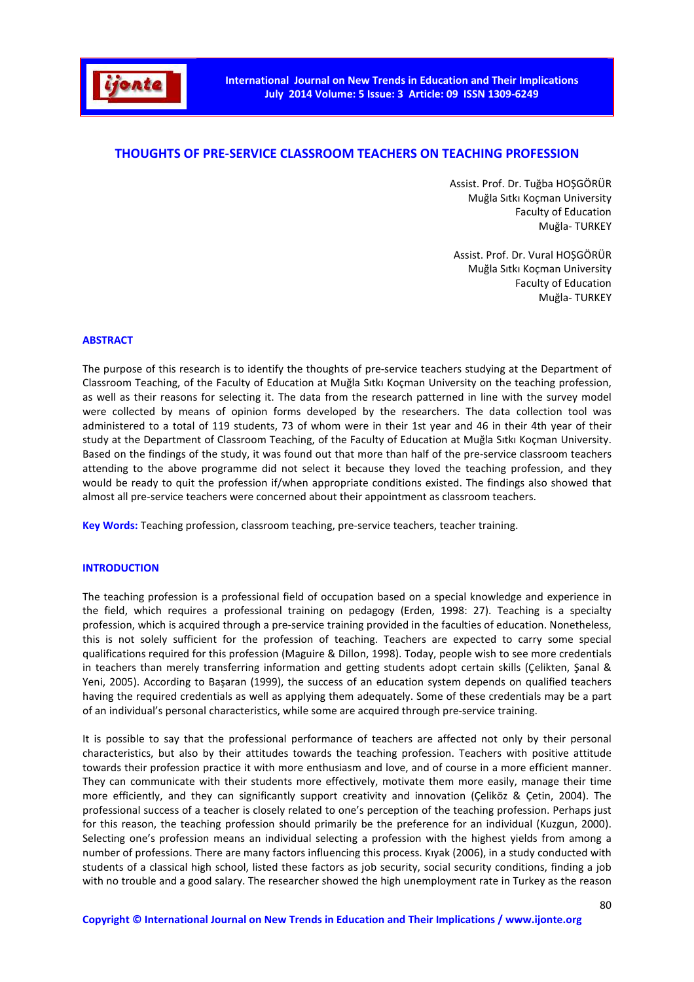

# **THOUGHTS OF PRE-SERVICE CLASSROOM TEACHERS ON TEACHING PROFESSION**

Assist. Prof. Dr. Tuğba HOŞGÖRÜR Muğla Sıtkı Koçman University Faculty of Education Muğla- TURKEY

Assist. Prof. Dr. Vural HOŞGÖRÜR Muğla Sıtkı Koçman University Faculty of Education Muğla- TURKEY

#### **ABSTRACT**

The purpose of this research is to identify the thoughts of pre-service teachers studying at the Department of Classroom Teaching, of the Faculty of Education at Muğla Sıtkı Koçman University on the teaching profession, as well as their reasons for selecting it. The data from the research patterned in line with the survey model were collected by means of opinion forms developed by the researchers. The data collection tool was administered to a total of 119 students, 73 of whom were in their 1st year and 46 in their 4th year of their study at the Department of Classroom Teaching, of the Faculty of Education at Muğla Sıtkı Koçman University. Based on the findings of the study, it was found out that more than half of the pre-service classroom teachers attending to the above programme did not select it because they loved the teaching profession, and they would be ready to quit the profession if/when appropriate conditions existed. The findings also showed that almost all pre-service teachers were concerned about their appointment as classroom teachers.

**Key Words:** Teaching profession, classroom teaching, pre-service teachers, teacher training.

### **INTRODUCTION**

The teaching profession is a professional field of occupation based on a special knowledge and experience in the field, which requires a professional training on pedagogy (Erden, 1998: 27). Teaching is a specialty profession, which is acquired through a pre-service training provided in the faculties of education. Nonetheless, this is not solely sufficient for the profession of teaching. Teachers are expected to carry some special qualifications required for this profession (Maguire & Dillon, 1998). Today, people wish to see more credentials in teachers than merely transferring information and getting students adopt certain skills (Çelikten, Şanal & Yeni, 2005). According to Başaran (1999), the success of an education system depends on qualified teachers having the required credentials as well as applying them adequately. Some of these credentials may be a part of an individual's personal characteristics, while some are acquired through pre-service training.

It is possible to say that the professional performance of teachers are affected not only by their personal characteristics, but also by their attitudes towards the teaching profession. Teachers with positive attitude towards their profession practice it with more enthusiasm and love, and of course in a more efficient manner. They can communicate with their students more effectively, motivate them more easily, manage their time more efficiently, and they can significantly support creativity and innovation (Çeliköz & Çetin, 2004). The professional success of a teacher is closely related to one's perception of the teaching profession. Perhaps just for this reason, the teaching profession should primarily be the preference for an individual (Kuzgun, 2000). Selecting one's profession means an individual selecting a profession with the highest yields from among a number of professions. There are many factors influencing this process. Kıyak (2006), in a study conducted with students of a classical high school, listed these factors as job security, social security conditions, finding a job with no trouble and a good salary. The researcher showed the high unemployment rate in Turkey as the reason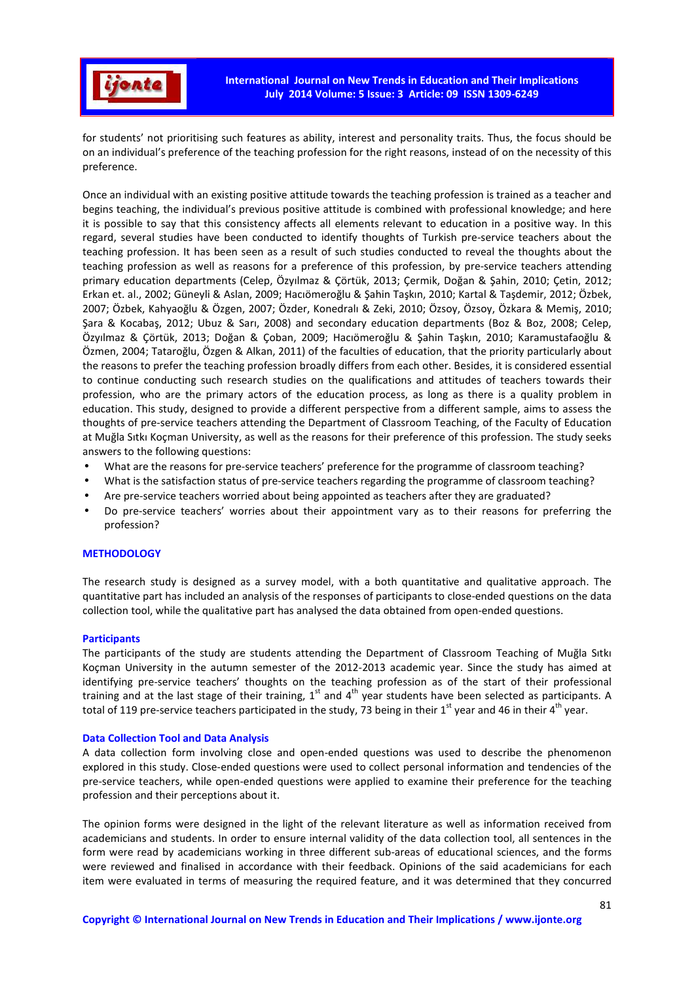

for students' not prioritising such features as ability, interest and personality traits. Thus, the focus should be on an individual's preference of the teaching profession for the right reasons, instead of on the necessity of this preference.

Once an individual with an existing positive attitude towards the teaching profession is trained as a teacher and begins teaching, the individual's previous positive attitude is combined with professional knowledge; and here it is possible to say that this consistency affects all elements relevant to education in a positive way. In this regard, several studies have been conducted to identify thoughts of Turkish pre-service teachers about the teaching profession. It has been seen as a result of such studies conducted to reveal the thoughts about the teaching profession as well as reasons for a preference of this profession, by pre-service teachers attending primary education departments (Celep, Özyılmaz & Çörtük, 2013; Çermik, Doğan & Şahin, 2010; Çetin, 2012; Erkan et. al., 2002; Güneyli & Aslan, 2009; Hacıömeroğlu & Şahin Taşkın, 2010; Kartal & Taşdemir, 2012; Özbek, 2007; Özbek, Kahyaoğlu & Özgen, 2007; Özder, Konedralı & Zeki, 2010; Özsoy, Özsoy, Özkara & Memiş, 2010; Şara & Kocabaş, 2012; Ubuz & Sarı, 2008) and secondary education departments (Boz & Boz, 2008; Celep, Özyılmaz & Çörtük, 2013; Doğan & Çoban, 2009; Hacıömeroğlu & Şahin Taşkın, 2010; Karamustafaoğlu & Özmen, 2004; Tataroğlu, Özgen & Alkan, 2011) of the faculties of education, that the priority particularly about the reasons to prefer the teaching profession broadly differs from each other. Besides, it is considered essential to continue conducting such research studies on the qualifications and attitudes of teachers towards their profession, who are the primary actors of the education process, as long as there is a quality problem in education. This study, designed to provide a different perspective from a different sample, aims to assess the thoughts of pre-service teachers attending the Department of Classroom Teaching, of the Faculty of Education at Muğla Sıtkı Koçman University, as well as the reasons for their preference of this profession. The study seeks answers to the following questions:

- What are the reasons for pre-service teachers' preference for the programme of classroom teaching?
- What is the satisfaction status of pre-service teachers regarding the programme of classroom teaching?
- Are pre-service teachers worried about being appointed as teachers after they are graduated?
- Do pre-service teachers' worries about their appointment vary as to their reasons for preferring the profession?

### **METHODOLOGY**

The research study is designed as a survey model, with a both quantitative and qualitative approach. The quantitative part has included an analysis of the responses of participants to close-ended questions on the data collection tool, while the qualitative part has analysed the data obtained from open-ended questions.

### **Participants**

The participants of the study are students attending the Department of Classroom Teaching of Muğla Sıtkı Koçman University in the autumn semester of the 2012-2013 academic year. Since the study has aimed at identifying pre-service teachers' thoughts on the teaching profession as of the start of their professional training and at the last stage of their training,  $1^{st}$  and  $4^{th}$  year students have been selected as participants. A total of 119 pre-service teachers participated in the study, 73 being in their 1<sup>st</sup> year and 46 in their 4<sup>th</sup> year.

### **Data Collection Tool and Data Analysis**

A data collection form involving close and open-ended questions was used to describe the phenomenon explored in this study. Close-ended questions were used to collect personal information and tendencies of the pre-service teachers, while open-ended questions were applied to examine their preference for the teaching profession and their perceptions about it.

The opinion forms were designed in the light of the relevant literature as well as information received from academicians and students. In order to ensure internal validity of the data collection tool, all sentences in the form were read by academicians working in three different sub-areas of educational sciences, and the forms were reviewed and finalised in accordance with their feedback. Opinions of the said academicians for each item were evaluated in terms of measuring the required feature, and it was determined that they concurred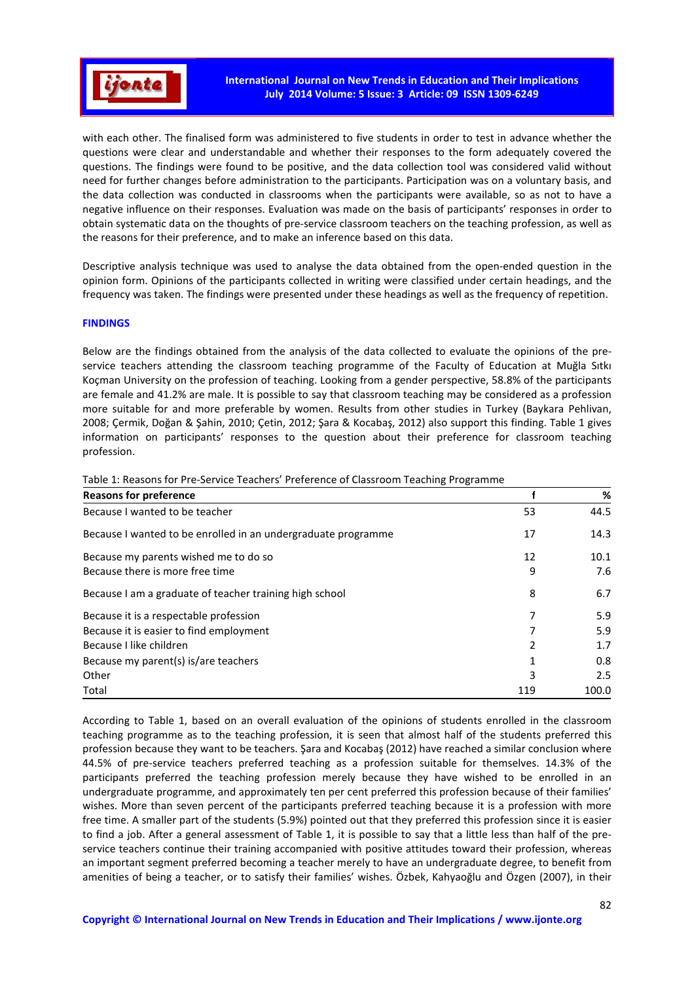

with each other. The finalised form was administered to five students in order to test in advance whether the questions were clear and understandable and whether their responses to the form adequately covered the questions. The findings were found to be positive, and the data collection tool was considered valid without need for further changes before administration to the participants. Participation was on a voluntary basis, and the data collection was conducted in classrooms when the participants were available, so as not to have a negative influence on their responses. Evaluation was made on the basis of participants' responses in order to obtain systematic data on the thoughts of pre-service classroom teachers on the teaching profession, as well as the reasons for their preference, and to make an inference based on this data.

Descriptive analysis technique was used to analyse the data obtained from the open-ended question in the opinion form. Opinions of the participants collected in writing were classified under certain headings, and the frequency was taken. The findings were presented under these headings as well as the frequency of repetition.

### **FINDINGS**

Below are the findings obtained from the analysis of the data collected to evaluate the opinions of the preservice teachers attending the classroom teaching programme of the Faculty of Education at Muğla Sıtkı Koçman University on the profession of teaching. Looking from a gender perspective, 58.8% of the participants are female and 41.2% are male. It is possible to say that classroom teaching may be considered as a profession more suitable for and more preferable by women. Results from other studies in Turkey (Baykara Pehlivan, 2008; Çermik, Doğan & Şahin, 2010; Çetin, 2012; Şara & Kocabaş, 2012) also support this finding. Table 1 gives information on participants' responses to the question about their preference for classroom teaching profession.

| <b>Reasons for preference</b>                                 |     | %     |
|---------------------------------------------------------------|-----|-------|
| Because I wanted to be teacher                                | 53  | 44.5  |
| Because I wanted to be enrolled in an undergraduate programme | 17  | 14.3  |
| Because my parents wished me to do so                         | 12  | 10.1  |
| Because there is more free time                               | 9   | 7.6   |
| Because I am a graduate of teacher training high school       | 8   | 6.7   |
| Because it is a respectable profession                        |     | 5.9   |
| Because it is easier to find employment                       |     | 5.9   |
| Because I like children                                       | 2   | 1.7   |
| Because my parent(s) is/are teachers                          |     | 0.8   |
| Other                                                         | 3   | 2.5   |
| Total                                                         | 119 | 100.0 |

Table 1: Reasons for Pre-Service Teachers' Preference of Classroom Teaching Programme

According to Table 1, based on an overall evaluation of the opinions of students enrolled in the classroom teaching programme as to the teaching profession, it is seen that almost half of the students preferred this profession because they want to be teachers. Şara and Kocabaş (2012) have reached a similar conclusion where 44.5% of pre-service teachers preferred teaching as a profession suitable for themselves. 14.3% of the participants preferred the teaching profession merely because they have wished to be enrolled in an undergraduate programme, and approximately ten per cent preferred this profession because of their families' wishes. More than seven percent of the participants preferred teaching because it is a profession with more free time. A smaller part of the students (5.9%) pointed out that they preferred this profession since it is easier to find a job. After a general assessment of Table 1, it is possible to say that a little less than half of the preservice teachers continue their training accompanied with positive attitudes toward their profession, whereas an important segment preferred becoming a teacher merely to have an undergraduate degree, to benefit from amenities of being a teacher, or to satisfy their families' wishes. Özbek, Kahyaoğlu and Özgen (2007), in their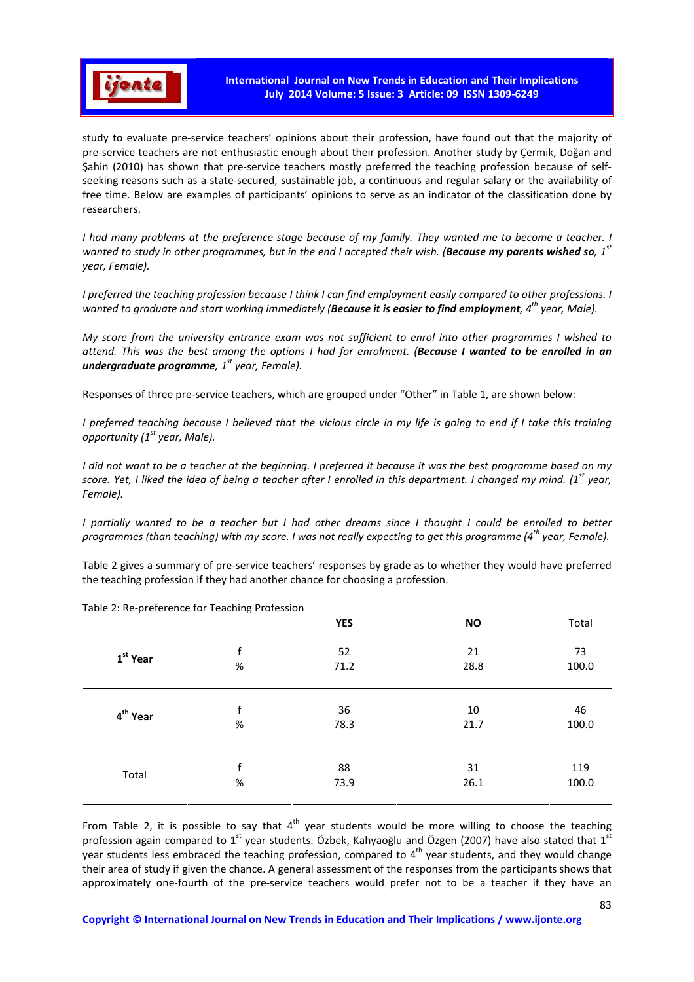

study to evaluate pre-service teachers' opinions about their profession, have found out that the majority of pre-service teachers are not enthusiastic enough about their profession. Another study by Çermik, Doğan and Şahin (2010) has shown that pre-service teachers mostly preferred the teaching profession because of selfseeking reasons such as a state-secured, sustainable job, a continuous and regular salary or the availability of free time. Below are examples of participants' opinions to serve as an indicator of the classification done by researchers.

*I had many problems at the preference stage because of my family. They wanted me to become a teacher. I wanted to study in other programmes, but in the end I accepted their wish. (Because my parents wished so, 1st year, Female).* 

*I* preferred the teaching profession because *I think I can find employment easily compared to other professions. I wanted to graduate and start working immediately (Because it is easier to find employment, 4th year, Male).* 

*My score from the university entrance exam was not sufficient to enrol into other programmes I wished to attend. This was the best among the options I had for enrolment. (Because I wanted to be enrolled in an undergraduate programme, 1st year, Female).* 

Responses of three pre-service teachers, which are grouped under "Other" in Table 1, are shown below:

*I preferred teaching because I believed that the vicious circle in my life is going to end if I take this training opportunity (1st year, Male).* 

*I did not want to be a teacher at the beginning. I preferred it because it was the best programme based on my score. Yet, I liked the idea of being a teacher after I enrolled in this department. I changed my mind. (1st year, Female).* 

*I partially wanted to be a teacher but I had other dreams since I thought I could be enrolled to better programmes (than teaching) with my score. I was not really expecting to get this programme (4th year, Female).* 

Table 2 gives a summary of pre-service teachers' responses by grade as to whether they would have preferred the teaching profession if they had another chance for choosing a profession.

|                      |      | <b>YES</b> | <b>NO</b> | Total |
|----------------------|------|------------|-----------|-------|
| 1 <sup>st</sup> Year | f    | 52         | 21        | 73    |
|                      | $\%$ | 71.2       | 28.8      | 100.0 |
| 4 <sup>th</sup> Year | f    | 36         | 10        | 46    |
|                      | $\%$ | 78.3       | 21.7      | 100.0 |
| Total                | f    | 88         | 31        | 119   |
|                      | $\%$ | 73.9       | 26.1      | 100.0 |

Table 2: Re-preference for Teaching Profession

From Table 2, it is possible to say that  $4<sup>th</sup>$  year students would be more willing to choose the teaching profession again compared to  $1<sup>st</sup>$  year students. Özbek, Kahyaoğlu and Özgen (2007) have also stated that  $1<sup>st</sup>$ year students less embraced the teaching profession, compared to  $4<sup>th</sup>$  year students, and they would change their area of study if given the chance. A general assessment of the responses from the participants shows that approximately one-fourth of the pre-service teachers would prefer not to be a teacher if they have an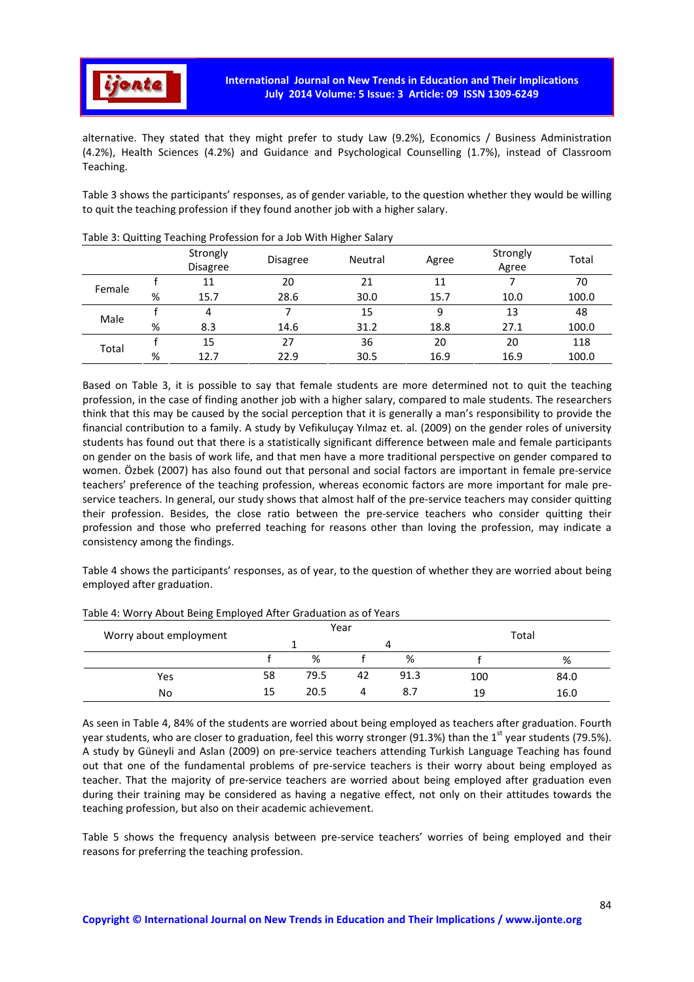

alternative. They stated that they might prefer to study Law (9.2%), Economics / Business Administration (4.2%), Health Sciences (4.2%) and Guidance and Psychological Counselling (1.7%), instead of Classroom Teaching.

Table 3 shows the participants' responses, as of gender variable, to the question whether they would be willing to quit the teaching profession if they found another job with a higher salary.

|        |   | Strongly<br><b>Disagree</b> | <b>Disagree</b> | Neutral | Agree | Strongly<br>Agree | Total |
|--------|---|-----------------------------|-----------------|---------|-------|-------------------|-------|
| Female |   | 11                          | 20              | 21      | 11    |                   | 70    |
|        | % | 15.7                        | 28.6            | 30.0    | 15.7  | 10.0              | 100.0 |
| Male   |   | 4                           |                 | 15      | 9     | 13                | 48    |
|        | % | 8.3                         | 14.6            | 31.2    | 18.8  | 27.1              | 100.0 |
| Total  |   | 15                          | 27              | 36      | 20    | 20                | 118   |
|        | % | 12.7                        | 22.9            | 30.5    | 16.9  | 16.9              | 100.0 |

# Table 3: Quitting Teaching Profession for a Job With Higher Salary

Based on Table 3, it is possible to say that female students are more determined not to quit the teaching profession, in the case of finding another job with a higher salary, compared to male students. The researchers think that this may be caused by the social perception that it is generally a man's responsibility to provide the financial contribution to a family. A study by Vefikuluçay Yılmaz et. al. (2009) on the gender roles of university students has found out that there is a statistically significant difference between male and female participants on gender on the basis of work life, and that men have a more traditional perspective on gender compared to women. Özbek (2007) has also found out that personal and social factors are important in female pre-service teachers' preference of the teaching profession, whereas economic factors are more important for male preservice teachers. In general, our study shows that almost half of the pre-service teachers may consider quitting their profession. Besides, the close ratio between the pre-service teachers who consider quitting their profession and those who preferred teaching for reasons other than loving the profession, may indicate a consistency among the findings.

Table 4 shows the participants' responses, as of year, to the question of whether they are worried about being employed after graduation.

| Worry about employment | Year |      |    |      | Total |      |
|------------------------|------|------|----|------|-------|------|
|                        |      |      |    |      |       |      |
|                        |      | %    |    | %    |       | %    |
| Yes                    | 58   | 79.5 | 42 | 91.3 | 100   | 84.0 |
| No                     | 15   | 20.5 | 4  | 8.7  | 19    | 16.0 |

### Table 4: Worry About Being Employed After Graduation as of Years

As seen in Table 4, 84% of the students are worried about being employed as teachers after graduation. Fourth year students, who are closer to graduation, feel this worry stronger (91.3%) than the 1<sup>st</sup> year students (79.5%). A study by Güneyli and Aslan (2009) on pre-service teachers attending Turkish Language Teaching has found out that one of the fundamental problems of pre-service teachers is their worry about being employed as teacher. That the majority of pre-service teachers are worried about being employed after graduation even during their training may be considered as having a negative effect, not only on their attitudes towards the teaching profession, but also on their academic achievement.

Table 5 shows the frequency analysis between pre-service teachers' worries of being employed and their reasons for preferring the teaching profession.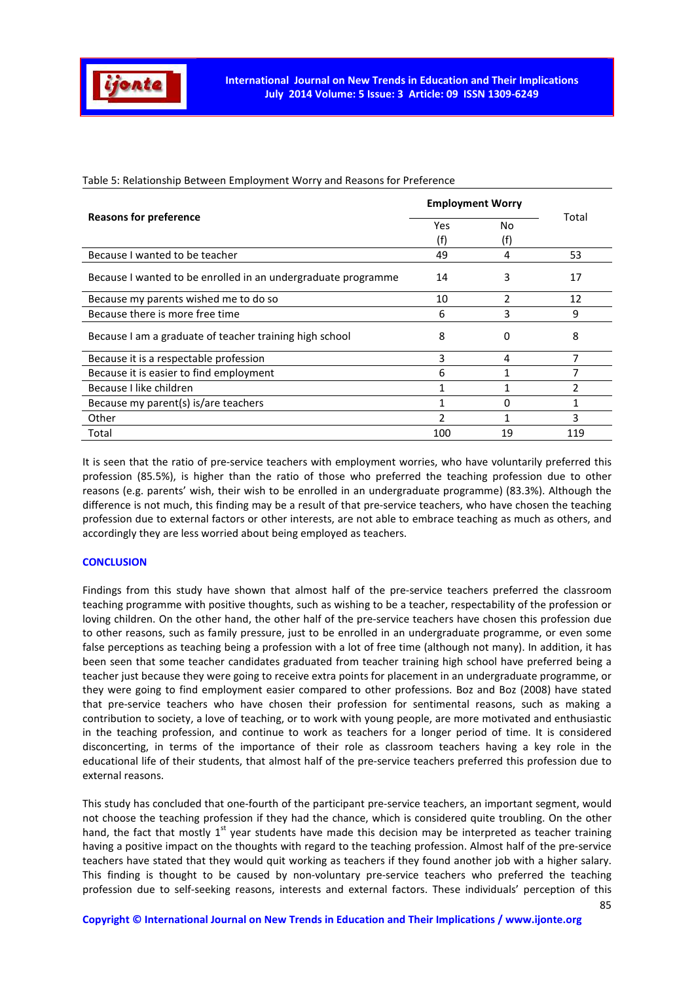

Table 5: Relationship Between Employment Worry and Reasons for Preference

|                                                               | <b>Employment Worry</b> |                          |       |
|---------------------------------------------------------------|-------------------------|--------------------------|-------|
| <b>Reasons for preference</b>                                 | Yes                     | No                       | Total |
|                                                               | (f)                     | (f)                      |       |
| Because I wanted to be teacher                                | 49                      | 4                        | 53    |
| Because I wanted to be enrolled in an undergraduate programme | 14                      | 3                        | 17    |
| Because my parents wished me to do so                         | 10                      | $\overline{\phantom{a}}$ | 12    |
| Because there is more free time                               | 6                       | 3                        | 9     |
| Because I am a graduate of teacher training high school       | 8                       | 0                        | 8     |
| Because it is a respectable profession                        | 3                       | 4                        |       |
| Because it is easier to find employment                       | 6                       |                          | 7     |
| Because I like children                                       |                         |                          |       |
| Because my parent(s) is/are teachers                          |                         | 0                        |       |
| Other                                                         |                         |                          | 3     |
| Total                                                         | 100                     | 19                       | 119   |

It is seen that the ratio of pre-service teachers with employment worries, who have voluntarily preferred this profession (85.5%), is higher than the ratio of those who preferred the teaching profession due to other reasons (e.g. parents' wish, their wish to be enrolled in an undergraduate programme) (83.3%). Although the difference is not much, this finding may be a result of that pre-service teachers, who have chosen the teaching profession due to external factors or other interests, are not able to embrace teaching as much as others, and accordingly they are less worried about being employed as teachers.

### **CONCLUSION**

Findings from this study have shown that almost half of the pre-service teachers preferred the classroom teaching programme with positive thoughts, such as wishing to be a teacher, respectability of the profession or loving children. On the other hand, the other half of the pre-service teachers have chosen this profession due to other reasons, such as family pressure, just to be enrolled in an undergraduate programme, or even some false perceptions as teaching being a profession with a lot of free time (although not many). In addition, it has been seen that some teacher candidates graduated from teacher training high school have preferred being a teacher just because they were going to receive extra points for placement in an undergraduate programme, or they were going to find employment easier compared to other professions. Boz and Boz (2008) have stated that pre-service teachers who have chosen their profession for sentimental reasons, such as making a contribution to society, a love of teaching, or to work with young people, are more motivated and enthusiastic in the teaching profession, and continue to work as teachers for a longer period of time. It is considered disconcerting, in terms of the importance of their role as classroom teachers having a key role in the educational life of their students, that almost half of the pre-service teachers preferred this profession due to external reasons.

This study has concluded that one-fourth of the participant pre-service teachers, an important segment, would not choose the teaching profession if they had the chance, which is considered quite troubling. On the other hand, the fact that mostly 1<sup>st</sup> year students have made this decision may be interpreted as teacher training having a positive impact on the thoughts with regard to the teaching profession. Almost half of the pre-service teachers have stated that they would quit working as teachers if they found another job with a higher salary. This finding is thought to be caused by non-voluntary pre-service teachers who preferred the teaching profession due to self-seeking reasons, interests and external factors. These individuals' perception of this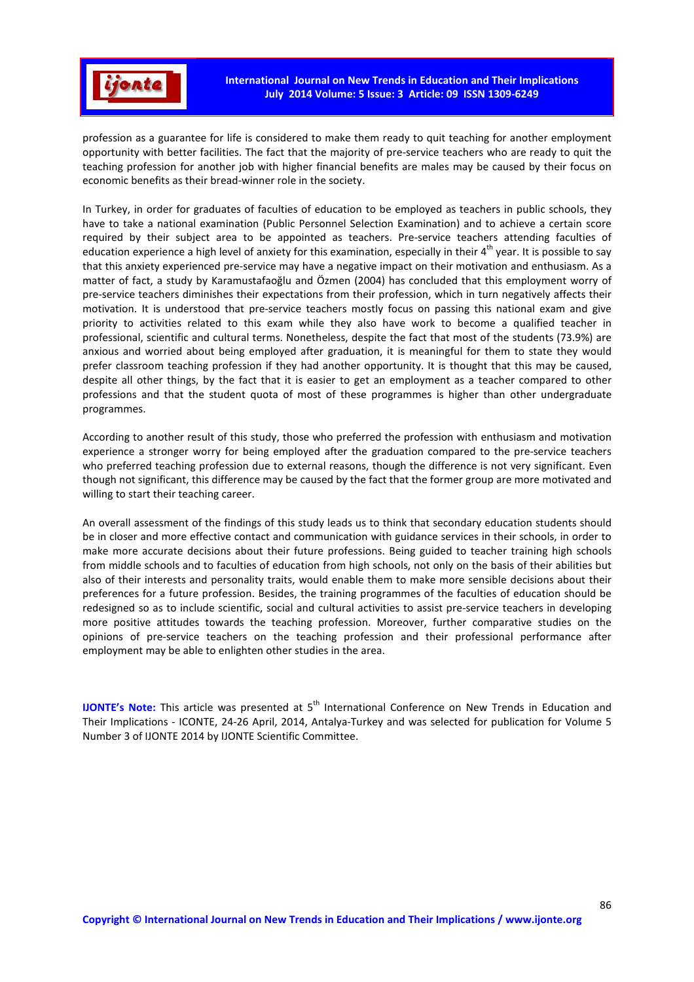

profession as a guarantee for life is considered to make them ready to quit teaching for another employment opportunity with better facilities. The fact that the majority of pre-service teachers who are ready to quit the teaching profession for another job with higher financial benefits are males may be caused by their focus on economic benefits as their bread-winner role in the society.

In Turkey, in order for graduates of faculties of education to be employed as teachers in public schools, they have to take a national examination (Public Personnel Selection Examination) and to achieve a certain score required by their subject area to be appointed as teachers. Pre-service teachers attending faculties of education experience a high level of anxiety for this examination, especially in their  $4^{th}$  year. It is possible to say that this anxiety experienced pre-service may have a negative impact on their motivation and enthusiasm. As a matter of fact, a study by Karamustafaoğlu and Özmen (2004) has concluded that this employment worry of pre-service teachers diminishes their expectations from their profession, which in turn negatively affects their motivation. It is understood that pre-service teachers mostly focus on passing this national exam and give priority to activities related to this exam while they also have work to become a qualified teacher in professional, scientific and cultural terms. Nonetheless, despite the fact that most of the students (73.9%) are anxious and worried about being employed after graduation, it is meaningful for them to state they would prefer classroom teaching profession if they had another opportunity. It is thought that this may be caused, despite all other things, by the fact that it is easier to get an employment as a teacher compared to other professions and that the student quota of most of these programmes is higher than other undergraduate programmes.

According to another result of this study, those who preferred the profession with enthusiasm and motivation experience a stronger worry for being employed after the graduation compared to the pre-service teachers who preferred teaching profession due to external reasons, though the difference is not very significant. Even though not significant, this difference may be caused by the fact that the former group are more motivated and willing to start their teaching career.

An overall assessment of the findings of this study leads us to think that secondary education students should be in closer and more effective contact and communication with guidance services in their schools, in order to make more accurate decisions about their future professions. Being guided to teacher training high schools from middle schools and to faculties of education from high schools, not only on the basis of their abilities but also of their interests and personality traits, would enable them to make more sensible decisions about their preferences for a future profession. Besides, the training programmes of the faculties of education should be redesigned so as to include scientific, social and cultural activities to assist pre-service teachers in developing more positive attitudes towards the teaching profession. Moreover, further comparative studies on the opinions of pre-service teachers on the teaching profession and their professional performance after employment may be able to enlighten other studies in the area.

**IJONTE's Note:** This article was presented at 5<sup>th</sup> International Conference on New Trends in Education and Their Implications - ICONTE, 24-26 April, 2014, Antalya-Turkey and was selected for publication for Volume 5 Number 3 of IJONTE 2014 by IJONTE Scientific Committee.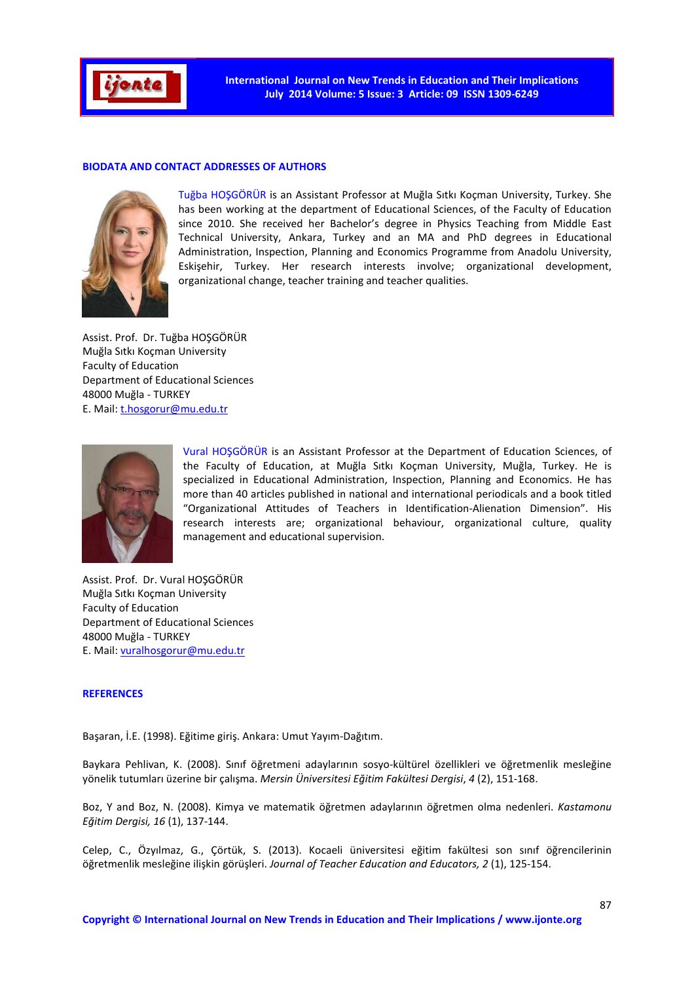

### **BIODATA AND CONTACT ADDRESSES OF AUTHORS**



Tuğba HOŞGÖRÜR is an Assistant Professor at Muğla Sıtkı Koçman University, Turkey. She has been working at the department of Educational Sciences, of the Faculty of Education since 2010. She received her Bachelor's degree in Physics Teaching from Middle East Technical University, Ankara, Turkey and an MA and PhD degrees in Educational Administration, Inspection, Planning and Economics Programme from Anadolu University, Eskişehir, Turkey. Her research interests involve; organizational development, organizational change, teacher training and teacher qualities.

Assist. Prof. Dr. Tuğba HOŞGÖRÜR Muğla Sıtkı Koçman University Faculty of Education Department of Educational Sciences 48000 Muğla - TURKEY E. Mail: t.hosgorur@mu.edu.tr



Vural HOŞGÖRÜR is an Assistant Professor at the Department of Education Sciences, of the Faculty of Education, at Muğla Sıtkı Koçman University, Muğla, Turkey. He is specialized in Educational Administration, Inspection, Planning and Economics. He has more than 40 articles published in national and international periodicals and a book titled "Organizational Attitudes of Teachers in Identification-Alienation Dimension". His research interests are; organizational behaviour, organizational culture, quality management and educational supervision.

Assist. Prof. Dr. Vural HOŞGÖRÜR Muğla Sıtkı Koçman University Faculty of Education Department of Educational Sciences 48000 Muğla - TURKEY E. Mail: vuralhosgorur@mu.edu.tr

#### **REFERENCES**

Başaran, İ.E. (1998). Eğitime giriş. Ankara: Umut Yayım-Dağıtım.

Baykara Pehlivan, K. (2008). Sınıf öğretmeni adaylarının sosyo-kültürel özellikleri ve öğretmenlik mesleğine yönelik tutumları üzerine bir çalışma. *Mersin Üniversitesi Eğitim Fakültesi Dergisi*, *4* (2), 151-168.

Boz, Y and Boz, N. (2008). Kimya ve matematik öğretmen adaylarının öğretmen olma nedenleri. *Kastamonu Eğitim Dergisi, 16* (1), 137-144.

Celep, C., Özyılmaz, G., Çörtük, S. (2013). Kocaeli üniversitesi eğitim fakültesi son sınıf öğrencilerinin öğretmenlik mesleğine ilişkin görüşleri. *Journal of Teacher Education and Educators, 2* (1), 125-154.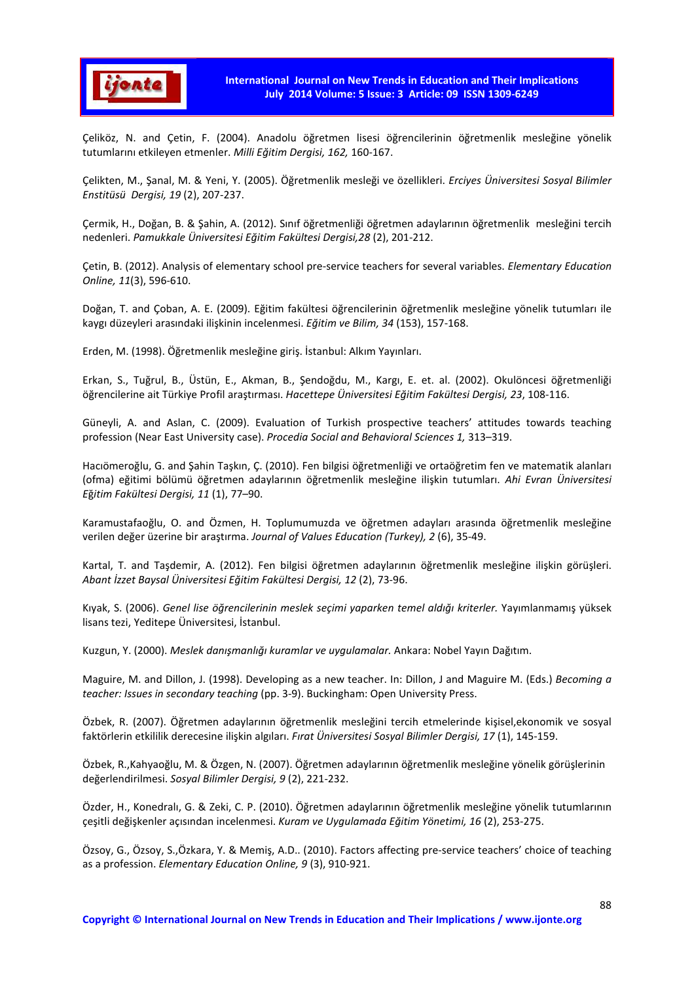

Çeliköz, N. and Çetin, F. (2004). Anadolu öğretmen lisesi öğrencilerinin öğretmenlik mesleğine yönelik tutumlarını etkileyen etmenler. *Milli Eğitim Dergisi, 162,* 160-167.

Çelikten, M., Şanal, M. & Yeni, Y. (2005). Öğretmenlik mesleği ve özellikleri. *Erciyes Üniversitesi Sosyal Bilimler Enstitüsü Dergisi, 19* (2), 207-237.

Çermik, H., Doğan, B. & Şahin, A. (2012). Sınıf öğretmenliği öğretmen adaylarının öğretmenlik mesleğini tercih nedenleri. *Pamukkale Üniversitesi Eğitim Fakültesi Dergisi,28* (2), 201-212.

Çetin, B. (2012). Analysis of elementary school pre-service teachers for several variables. *Elementary Education Online, 11*(3), 596-610.

Doğan, T. and Çoban, A. E. (2009). Eğitim fakültesi öğrencilerinin öğretmenlik mesleğine yönelik tutumları ile kaygı düzeyleri arasındaki ilişkinin incelenmesi. *Eğitim ve Bilim, 34* (153), 157-168.

Erden, M. (1998). Öğretmenlik mesleğine giriş. İstanbul: Alkım Yayınları.

Erkan, S., Tuğrul, B., Üstün, E., Akman, B., Şendoğdu, M., Kargı, E. et. al. (2002). Okulöncesi öğretmenliği öğrencilerine ait Türkiye Profil araştırması. *Hacettepe Üniversitesi Eğitim Fakültesi Dergisi, 23*, 108-116.

Güneyli, A. and Aslan, C. (2009). Evaluation of Turkish prospective teachers' attitudes towards teaching profession (Near East University case). *Procedia Social and Behavioral Sciences 1,* 313–319.

Hacıömeroğlu, G. and Şahin Taşkın, Ç. (2010). Fen bilgisi öğretmenliği ve ortaöğretim fen ve matematik alanları (ofma) eğitimi bölümü öğretmen adaylarının öğretmenlik mesleğine ilişkin tutumları. *Ahi Evran Üniversitesi E*ğ*itim Fakültesi Dergisi, 11* (1), 77–90.

Karamustafaoğlu, O. and Özmen, H. Toplumumuzda ve öğretmen adayları arasında öğretmenlik mesleğine verilen değer üzerine bir araştırma. *Journal of Values Education (Turkey), 2* (6), 35-49.

Kartal, T. and Taşdemir, A. (2012). Fen bilgisi öğretmen adaylarının öğretmenlik mesleğine ilişkin görüşleri. *Abant İzzet Baysal Üniversitesi Eğitim Fakültesi Dergisi, 12* (2), 73-96.

Kıyak, S. (2006). *Genel lise öğrencilerinin meslek seçimi yaparken temel aldığı kriterler.* Yayımlanmamış yüksek lisans tezi, Yeditepe Üniversitesi, İstanbul.

Kuzgun, Y. (2000). *Meslek danışmanlığı kuramlar ve uygulamalar.* Ankara: Nobel Yayın Dağıtım.

Maguire, M. and Dillon, J. (1998). Developing as a new teacher. In: Dillon, J and Maguire M. (Eds.) *Becoming a teacher: Issues in secondary teaching* (pp. 3-9). Buckingham: Open University Press.

Özbek, R. (2007). Öğretmen adaylarının öğretmenlik mesleğini tercih etmelerinde kişisel,ekonomik ve sosyal faktörlerin etkililik derecesine ilişkin algıları. *Fırat Üniversitesi Sosyal Bilimler Dergisi, 17* (1), 145-159.

Özbek, R.,Kahyaoğlu, M. & Özgen, N. (2007). Öğretmen adaylarının öğretmenlik mesleğine yönelik görüşlerinin değerlendirilmesi. *Sosyal Bilimler Dergisi, 9* (2), 221-232.

Özder, H., Konedralı, G. & Zeki, C. P. (2010). Öğretmen adaylarının öğretmenlik mesleğine yönelik tutumlarının çeşitli değişkenler açısından incelenmesi. *Kuram ve Uygulamada Eğitim Yönetimi, 16* (2), 253-275.

Özsoy, G., Özsoy, S.,Özkara, Y. & Memiş, A.D.. (2010). Factors affecting pre-service teachers' choice of teaching as a profession. *Elementary Education Online, 9* (3), 910-921.